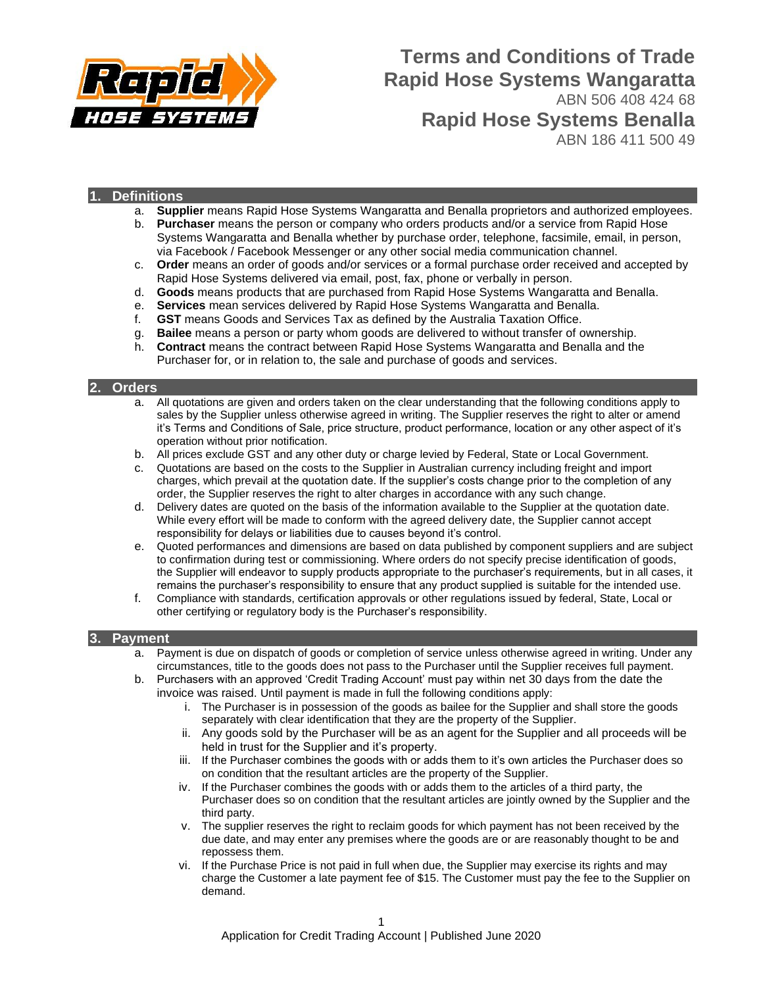

# **Terms and Conditions of Trade Rapid Hose Systems Wangaratta** ABN 506 408 424 68 **Rapid Hose Systems Benalla**

ABN 186 411 500 49

# **1. Definitions**

- a. **Supplier** means Rapid Hose Systems Wangaratta and Benalla proprietors and authorized employees.
- b. **Purchaser** means the person or company who orders products and/or a service from Rapid Hose Systems Wangaratta and Benalla whether by purchase order, telephone, facsimile, email, in person, via Facebook / Facebook Messenger or any other social media communication channel.
- c. **Order** means an order of goods and/or services or a formal purchase order received and accepted by Rapid Hose Systems delivered via email, post, fax, phone or verbally in person.
- d. **Goods** means products that are purchased from Rapid Hose Systems Wangaratta and Benalla.
- e. **Services** mean services delivered by Rapid Hose Systems Wangaratta and Benalla.
- f. **GST** means Goods and Services Tax as defined by the Australia Taxation Office.
- g. **Bailee** means a person or party whom goods are delivered to without transfer of ownership.
- h. **Contract** means the contract between Rapid Hose Systems Wangaratta and Benalla and the Purchaser for, or in relation to, the sale and purchase of goods and services.

#### **2. Orders**

- a. All quotations are given and orders taken on the clear understanding that the following conditions apply to sales by the Supplier unless otherwise agreed in writing. The Supplier reserves the right to alter or amend it's Terms and Conditions of Sale, price structure, product performance, location or any other aspect of it's operation without prior notification.
- b. All prices exclude GST and any other duty or charge levied by Federal, State or Local Government.
- c. Quotations are based on the costs to the Supplier in Australian currency including freight and import charges, which prevail at the quotation date. If the supplier's costs change prior to the completion of any order, the Supplier reserves the right to alter charges in accordance with any such change.
- d. Delivery dates are quoted on the basis of the information available to the Supplier at the quotation date. While every effort will be made to conform with the agreed delivery date, the Supplier cannot accept responsibility for delays or liabilities due to causes beyond it's control.
- e. Quoted performances and dimensions are based on data published by component suppliers and are subject to confirmation during test or commissioning. Where orders do not specify precise identification of goods, the Supplier will endeavor to supply products appropriate to the purchaser's requirements, but in all cases, it remains the purchaser's responsibility to ensure that any product supplied is suitable for the intended use.
- f. Compliance with standards, certification approvals or other regulations issued by federal, State, Local or other certifying or regulatory body is the Purchaser's responsibility.

#### **3. Payment**

- a. Payment is due on dispatch of goods or completion of service unless otherwise agreed in writing. Under any circumstances, title to the goods does not pass to the Purchaser until the Supplier receives full payment.
- b. Purchasers with an approved 'Credit Trading Account' must pay within net 30 days from the date the invoice was raised. Until payment is made in full the following conditions apply:
	- i. The Purchaser is in possession of the goods as bailee for the Supplier and shall store the goods separately with clear identification that they are the property of the Supplier.
	- ii. Any goods sold by the Purchaser will be as an agent for the Supplier and all proceeds will be held in trust for the Supplier and it's property.
	- iii. If the Purchaser combines the goods with or adds them to it's own articles the Purchaser does so on condition that the resultant articles are the property of the Supplier.
	- iv. If the Purchaser combines the goods with or adds them to the articles of a third party, the Purchaser does so on condition that the resultant articles are jointly owned by the Supplier and the third party.
	- v. The supplier reserves the right to reclaim goods for which payment has not been received by the due date, and may enter any premises where the goods are or are reasonably thought to be and repossess them.
	- vi. If the Purchase Price is not paid in full when due, the Supplier may exercise its rights and may charge the Customer a late payment fee of \$15. The Customer must pay the fee to the Supplier on demand.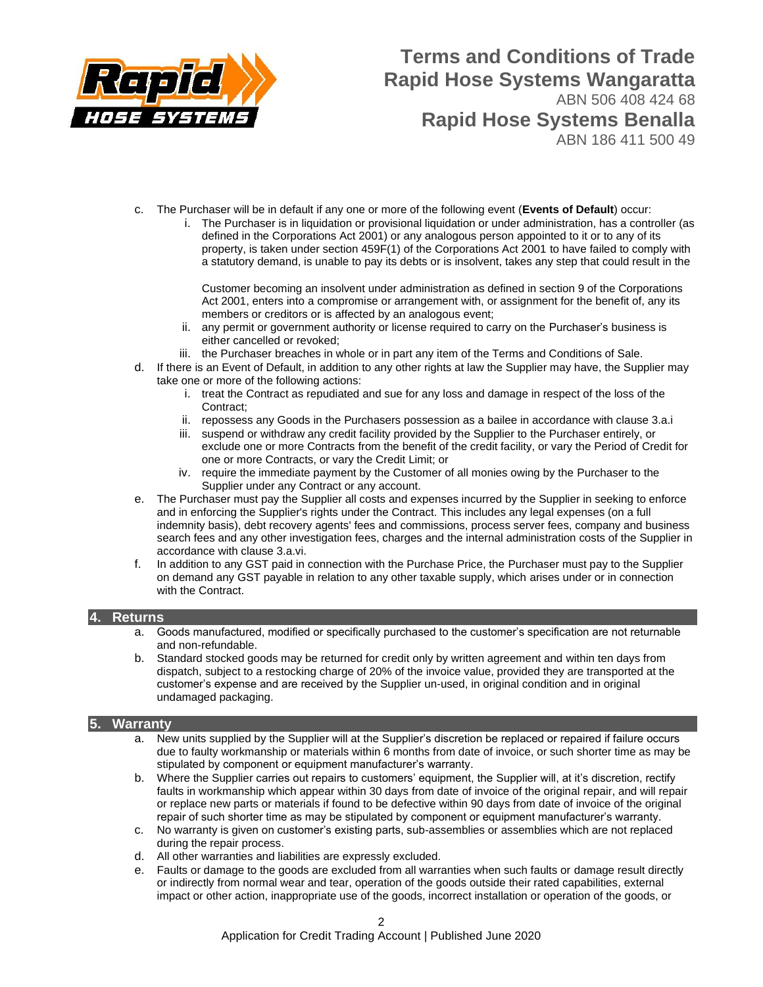

# **Terms and Conditions of Trade Rapid Hose Systems Wangaratta** ABN 506 408 424 68 **Rapid Hose Systems Benalla**

ABN 186 411 500 49

- c. The Purchaser will be in default if any one or more of the following event (**Events of Default**) occur:
	- i. The Purchaser is in liquidation or provisional liquidation or under administration, has a controller (as defined in the Corporations Act 2001) or any analogous person appointed to it or to any of its property, is taken under section 459F(1) of the Corporations Act 2001 to have failed to comply with a statutory demand, is unable to pay its debts or is insolvent, takes any step that could result in the

Customer becoming an insolvent under administration as defined in section 9 of the Corporations Act 2001, enters into a compromise or arrangement with, or assignment for the benefit of, any its members or creditors or is affected by an analogous event;

- ii. any permit or government authority or license required to carry on the Purchaser's business is either cancelled or revoked;
- iii. the Purchaser breaches in whole or in part any item of the Terms and Conditions of Sale.
- d. If there is an Event of Default, in addition to any other rights at law the Supplier may have, the Supplier may take one or more of the following actions:
	- i. treat the Contract as repudiated and sue for any loss and damage in respect of the loss of the Contract:
	- ii. repossess any Goods in the Purchasers possession as a bailee in accordance with clause 3.a.i
	- iii. suspend or withdraw any credit facility provided by the Supplier to the Purchaser entirely, or exclude one or more Contracts from the benefit of the credit facility, or vary the Period of Credit for one or more Contracts, or vary the Credit Limit; or
	- iv. require the immediate payment by the Customer of all monies owing by the Purchaser to the Supplier under any Contract or any account.
- e. The Purchaser must pay the Supplier all costs and expenses incurred by the Supplier in seeking to enforce and in enforcing the Supplier's rights under the Contract. This includes any legal expenses (on a full indemnity basis), debt recovery agents' fees and commissions, process server fees, company and business search fees and any other investigation fees, charges and the internal administration costs of the Supplier in accordance with clause 3.a.vi.
- f. In addition to any GST paid in connection with the Purchase Price, the Purchaser must pay to the Supplier on demand any GST payable in relation to any other taxable supply, which arises under or in connection with the Contract.

### **4. Returns**

- a. Goods manufactured, modified or specifically purchased to the customer's specification are not returnable and non-refundable.
- b. Standard stocked goods may be returned for credit only by written agreement and within ten days from dispatch, subject to a restocking charge of 20% of the invoice value, provided they are transported at the customer's expense and are received by the Supplier un-used, in original condition and in original undamaged packaging.

### **5. Warranty**

- a. New units supplied by the Supplier will at the Supplier's discretion be replaced or repaired if failure occurs due to faulty workmanship or materials within 6 months from date of invoice, or such shorter time as may be stipulated by component or equipment manufacturer's warranty.
- b. Where the Supplier carries out repairs to customers' equipment, the Supplier will, at it's discretion, rectify faults in workmanship which appear within 30 days from date of invoice of the original repair, and will repair or replace new parts or materials if found to be defective within 90 days from date of invoice of the original repair of such shorter time as may be stipulated by component or equipment manufacturer's warranty.
- c. No warranty is given on customer's existing parts, sub-assemblies or assemblies which are not replaced during the repair process.
- d. All other warranties and liabilities are expressly excluded.
- e. Faults or damage to the goods are excluded from all warranties when such faults or damage result directly or indirectly from normal wear and tear, operation of the goods outside their rated capabilities, external impact or other action, inappropriate use of the goods, incorrect installation or operation of the goods, or